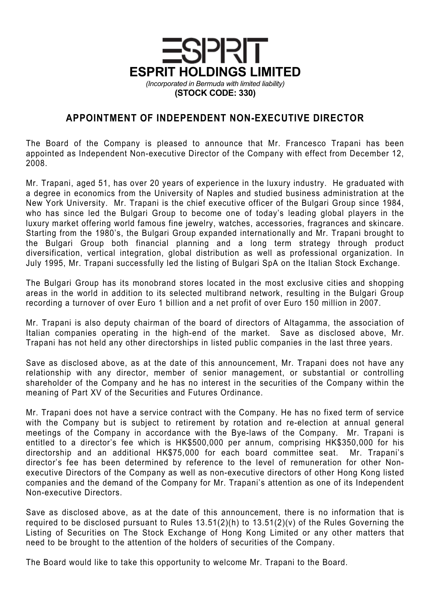

## APPOINTMENT OF INDEPENDENT NON-EXECUTIVE DIRECTOR

The Board of the Company is pleased to announce that Mr. Francesco Trapani has been appointed as Independent Non-executive Director of the Company with effect from December 12, 2008.

Mr. Trapani, aged 51, has over 20 years of experience in the luxury industry. He graduated with a degree in economics from the University of Naples and studied business administration at the New York University. Mr. Trapani is the chief executive officer of the Bulgari Group since 1984, who has since led the Bulgari Group to become one of today's leading global players in the luxury market offering world famous fine jewelry, watches, accessories, fragrances and skincare. Starting from the 1980's, the Bulgari Group expanded internationally and Mr. Trapani brought to the Bulgari Group both financial planning and a long term strategy through product diversification, vertical integration, global distribution as well as professional organization. In July 1995, Mr. Trapani successfully led the listing of Bulgari SpA on the Italian Stock Exchange.

The Bulgari Group has its monobrand stores located in the most exclusive cities and shopping areas in the world in addition to its selected multibrand network, resulting in the Bulgari Group recording a turnover of over Euro 1 billion and a net profit of over Euro 150 million in 2007.

Mr. Trapani is also deputy chairman of the board of directors of Altagamma, the association of Italian companies operating in the high-end of the market. Save as disclosed above, Mr. Trapani has not held any other directorships in listed public companies in the last three years.

Save as disclosed above, as at the date of this announcement, Mr. Trapani does not have any relationship with any director, member of senior management, or substantial or controlling shareholder of the Company and he has no interest in the securities of the Company within the meaning of Part XV of the Securities and Futures Ordinance.

Mr. Trapani does not have a service contract with the Company. He has no fixed term of service with the Company but is subject to retirement by rotation and re-election at annual general meetings of the Company in accordance with the Bye-laws of the Company. Mr. Trapani is entitled to a director's fee which is HK\$500,000 per annum, comprising HK\$350,000 for his directorship and an additional HK\$75,000 for each board committee seat. Mr. Trapani's director's fee has been determined by reference to the level of remuneration for other Nonexecutive Directors of the Company as well as non-executive directors of other Hong Kong listed companies and the demand of the Company for Mr. Trapani's attention as one of its Independent Non-executive Directors.

Save as disclosed above, as at the date of this announcement, there is no information that is required to be disclosed pursuant to Rules  $13.51(2)(h)$  to  $13.51(2)(v)$  of the Rules Governing the Listing of Securities on The Stock Exchange of Hong Kong Limited or any other matters that need to be brought to the attention of the holders of securities of the Company.

The Board would like to take this opportunity to welcome Mr. Trapani to the Board.